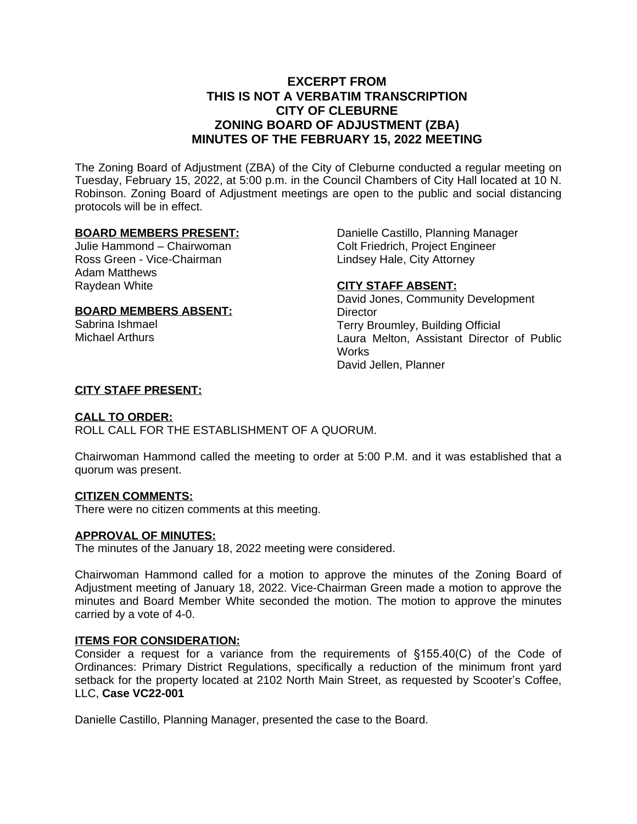# **EXCERPT FROM THIS IS NOT A VERBATIM TRANSCRIPTION CITY OF CLEBURNE ZONING BOARD OF ADJUSTMENT (ZBA) MINUTES OF THE FEBRUARY 15, 2022 MEETING**

The Zoning Board of Adjustment (ZBA) of the City of Cleburne conducted a regular meeting on Tuesday, February 15, 2022, at 5:00 p.m. in the Council Chambers of City Hall located at 10 N. Robinson. Zoning Board of Adjustment meetings are open to the public and social distancing protocols will be in effect.

#### **BOARD MEMBERS PRESENT:**

Julie Hammond – Chairwoman Ross Green - Vice-Chairman Adam Matthews Raydean White

# **BOARD MEMBERS ABSENT:**

Sabrina Ishmael Michael Arthurs

Danielle Castillo, Planning Manager Colt Friedrich, Project Engineer Lindsey Hale, City Attorney

## **CITY STAFF ABSENT:**

David Jones, Community Development **Director** Terry Broumley, Building Official Laura Melton, Assistant Director of Public Works David Jellen, Planner

## **CITY STAFF PRESENT:**

#### **CALL TO ORDER:**

ROLL CALL FOR THE ESTABLISHMENT OF A QUORUM.

Chairwoman Hammond called the meeting to order at 5:00 P.M. and it was established that a quorum was present.

#### **CITIZEN COMMENTS:**

There were no citizen comments at this meeting.

#### **APPROVAL OF MINUTES:**

The minutes of the January 18, 2022 meeting were considered.

Chairwoman Hammond called for a motion to approve the minutes of the Zoning Board of Adjustment meeting of January 18, 2022. Vice-Chairman Green made a motion to approve the minutes and Board Member White seconded the motion. The motion to approve the minutes carried by a vote of 4-0.

#### **ITEMS FOR CONSIDERATION:**

Consider a request for a variance from the requirements of §155.40(C) of the Code of Ordinances: Primary District Regulations, specifically a reduction of the minimum front yard setback for the property located at 2102 North Main Street, as requested by Scooter's Coffee, LLC, **Case VC22-001**

Danielle Castillo, Planning Manager, presented the case to the Board.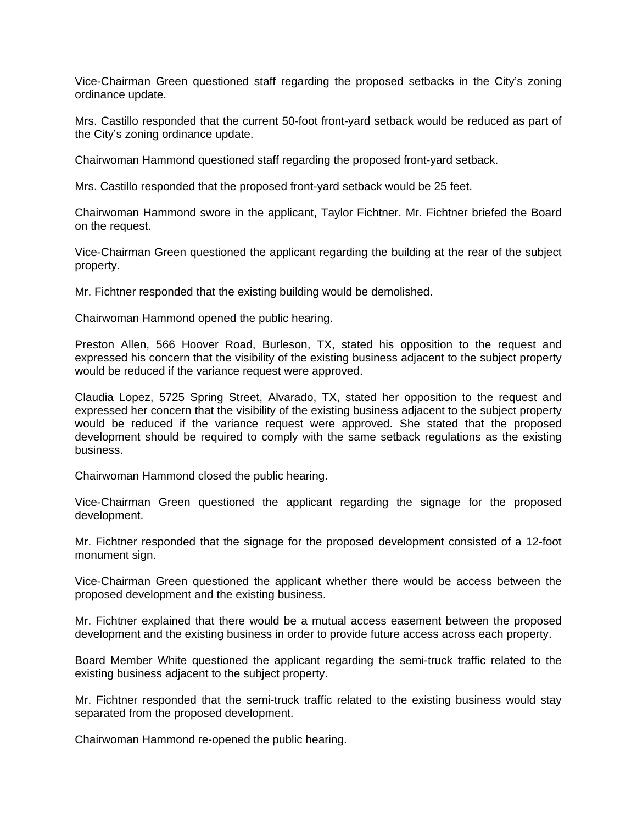Vice-Chairman Green questioned staff regarding the proposed setbacks in the City's zoning ordinance update.

Mrs. Castillo responded that the current 50-foot front-yard setback would be reduced as part of the City's zoning ordinance update.

Chairwoman Hammond questioned staff regarding the proposed front-yard setback.

Mrs. Castillo responded that the proposed front-yard setback would be 25 feet.

Chairwoman Hammond swore in the applicant, Taylor Fichtner. Mr. Fichtner briefed the Board on the request.

Vice-Chairman Green questioned the applicant regarding the building at the rear of the subject property.

Mr. Fichtner responded that the existing building would be demolished.

Chairwoman Hammond opened the public hearing.

Preston Allen, 566 Hoover Road, Burleson, TX, stated his opposition to the request and expressed his concern that the visibility of the existing business adjacent to the subject property would be reduced if the variance request were approved.

Claudia Lopez, 5725 Spring Street, Alvarado, TX, stated her opposition to the request and expressed her concern that the visibility of the existing business adjacent to the subject property would be reduced if the variance request were approved. She stated that the proposed development should be required to comply with the same setback regulations as the existing business.

Chairwoman Hammond closed the public hearing.

Vice-Chairman Green questioned the applicant regarding the signage for the proposed development.

Mr. Fichtner responded that the signage for the proposed development consisted of a 12-foot monument sign.

Vice-Chairman Green questioned the applicant whether there would be access between the proposed development and the existing business.

Mr. Fichtner explained that there would be a mutual access easement between the proposed development and the existing business in order to provide future access across each property.

Board Member White questioned the applicant regarding the semi-truck traffic related to the existing business adjacent to the subject property.

Mr. Fichtner responded that the semi-truck traffic related to the existing business would stay separated from the proposed development.

Chairwoman Hammond re-opened the public hearing.